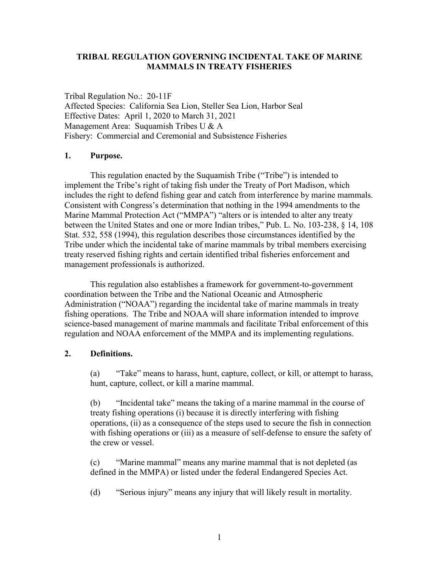### **TRIBAL REGULATION GOVERNING INCIDENTAL TAKE OF MARINE MAMMALS IN TREATY FISHERIES**

Tribal Regulation No.: 20-11F Affected Species: California Sea Lion, Steller Sea Lion, Harbor Seal Effective Dates: April 1, 2020 to March 31, 2021 Management Area: Suquamish Tribes U & A Fishery: Commercial and Ceremonial and Subsistence Fisheries

#### **1. Purpose.**

This regulation enacted by the Suquamish Tribe ("Tribe") is intended to implement the Tribe's right of taking fish under the Treaty of Port Madison, which includes the right to defend fishing gear and catch from interference by marine mammals. Consistent with Congress's determination that nothing in the 1994 amendments to the Marine Mammal Protection Act ("MMPA") "alters or is intended to alter any treaty between the United States and one or more Indian tribes," Pub. L. No. 103-238, § 14, 108 Stat. 532, 558 (1994), this regulation describes those circumstances identified by the Tribe under which the incidental take of marine mammals by tribal members exercising treaty reserved fishing rights and certain identified tribal fisheries enforcement and management professionals is authorized.

This regulation also establishes a framework for government-to-government coordination between the Tribe and the National Oceanic and Atmospheric Administration ("NOAA") regarding the incidental take of marine mammals in treaty fishing operations. The Tribe and NOAA will share information intended to improve science-based management of marine mammals and facilitate Tribal enforcement of this regulation and NOAA enforcement of the MMPA and its implementing regulations.

### **2. Definitions.**

(a) "Take" means to harass, hunt, capture, collect, or kill, or attempt to harass, hunt, capture, collect, or kill a marine mammal.

(b) "Incidental take" means the taking of a marine mammal in the course of treaty fishing operations (i) because it is directly interfering with fishing operations, (ii) as a consequence of the steps used to secure the fish in connection with fishing operations or (iii) as a measure of self-defense to ensure the safety of the crew or vessel.

(c) "Marine mammal" means any marine mammal that is not depleted (as defined in the MMPA) or listed under the federal Endangered Species Act.

(d) "Serious injury" means any injury that will likely result in mortality.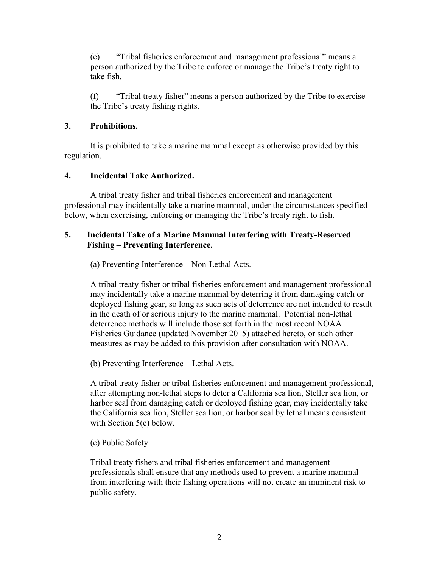(e) "Tribal fisheries enforcement and management professional" means a person authorized by the Tribe to enforce or manage the Tribe's treaty right to take fish.

(f) "Tribal treaty fisher" means a person authorized by the Tribe to exercise the Tribe's treaty fishing rights.

# **3. Prohibitions.**

It is prohibited to take a marine mammal except as otherwise provided by this regulation.

# **4. Incidental Take Authorized.**

A tribal treaty fisher and tribal fisheries enforcement and management professional may incidentally take a marine mammal, under the circumstances specified below, when exercising, enforcing or managing the Tribe's treaty right to fish.

## **5. Incidental Take of a Marine Mammal Interfering with Treaty-Reserved Fishing – Preventing Interference.**

(a) Preventing Interference – Non-Lethal Acts.

A tribal treaty fisher or tribal fisheries enforcement and management professional may incidentally take a marine mammal by deterring it from damaging catch or deployed fishing gear, so long as such acts of deterrence are not intended to result in the death of or serious injury to the marine mammal. Potential non-lethal deterrence methods will include those set forth in the most recent NOAA Fisheries Guidance (updated November 2015) attached hereto, or such other measures as may be added to this provision after consultation with NOAA.

(b) Preventing Interference – Lethal Acts.

A tribal treaty fisher or tribal fisheries enforcement and management professional, after attempting non-lethal steps to deter a California sea lion, Steller sea lion, or harbor seal from damaging catch or deployed fishing gear, may incidentally take the California sea lion, Steller sea lion, or harbor seal by lethal means consistent with Section 5(c) below.

(c) Public Safety.

Tribal treaty fishers and tribal fisheries enforcement and management professionals shall ensure that any methods used to prevent a marine mammal from interfering with their fishing operations will not create an imminent risk to public safety.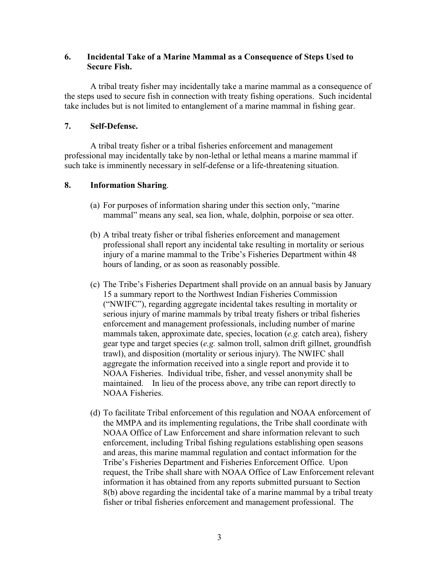## **6. Incidental Take of a Marine Mammal as a Consequence of Steps Used to Secure Fish.**

A tribal treaty fisher may incidentally take a marine mammal as a consequence of the steps used to secure fish in connection with treaty fishing operations. Such incidental take includes but is not limited to entanglement of a marine mammal in fishing gear.

### **7. Self-Defense.**

A tribal treaty fisher or a tribal fisheries enforcement and management professional may incidentally take by non-lethal or lethal means a marine mammal if such take is imminently necessary in self-defense or a life-threatening situation.

## **8. Information Sharing**.

- (a) For purposes of information sharing under this section only, "marine mammal" means any seal, sea lion, whale, dolphin, porpoise or sea otter.
- (b) A tribal treaty fisher or tribal fisheries enforcement and management professional shall report any incidental take resulting in mortality or serious injury of a marine mammal to the Tribe's Fisheries Department within 48 hours of landing, or as soon as reasonably possible.
- (c) The Tribe's Fisheries Department shall provide on an annual basis by January 15 a summary report to the Northwest Indian Fisheries Commission ("NWIFC"), regarding aggregate incidental takes resulting in mortality or serious injury of marine mammals by tribal treaty fishers or tribal fisheries enforcement and management professionals, including number of marine mammals taken, approximate date, species, location (*e.g.* catch area), fishery gear type and target species (*e.g.* salmon troll, salmon drift gillnet, groundfish trawl), and disposition (mortality or serious injury). The NWIFC shall aggregate the information received into a single report and provide it to NOAA Fisheries. Individual tribe, fisher, and vessel anonymity shall be maintained. In lieu of the process above, any tribe can report directly to NOAA Fisheries.
- (d) To facilitate Tribal enforcement of this regulation and NOAA enforcement of the MMPA and its implementing regulations, the Tribe shall coordinate with NOAA Office of Law Enforcement and share information relevant to such enforcement, including Tribal fishing regulations establishing open seasons and areas, this marine mammal regulation and contact information for the Tribe's Fisheries Department and Fisheries Enforcement Office. Upon request, the Tribe shall share with NOAA Office of Law Enforcement relevant information it has obtained from any reports submitted pursuant to Section 8(b) above regarding the incidental take of a marine mammal by a tribal treaty fisher or tribal fisheries enforcement and management professional. The